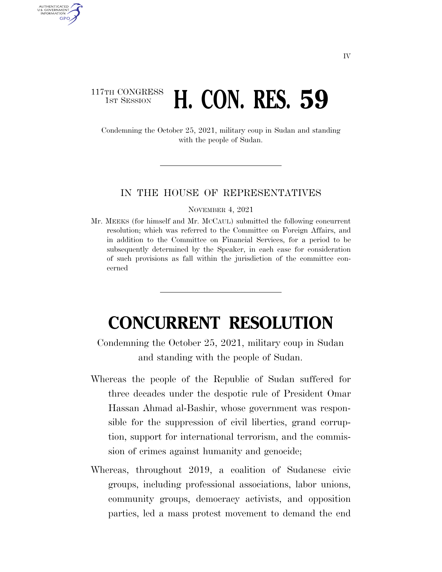## 117TH CONGRESS **1st Session <b>H. CON. RES. 59**

AUTHENTICATED U.S. GOVERNMENT **GPO** 

> Condemning the October 25, 2021, military coup in Sudan and standing with the people of Sudan.

## IN THE HOUSE OF REPRESENTATIVES

NOVEMBER 4, 2021

Mr. MEEKS (for himself and Mr. MCCAUL) submitted the following concurrent resolution; which was referred to the Committee on Foreign Affairs, and in addition to the Committee on Financial Services, for a period to be subsequently determined by the Speaker, in each case for consideration of such provisions as fall within the jurisdiction of the committee concerned

## **CONCURRENT RESOLUTION**

Condemning the October 25, 2021, military coup in Sudan and standing with the people of Sudan.

- Whereas the people of the Republic of Sudan suffered for three decades under the despotic rule of President Omar Hassan Ahmad al-Bashir, whose government was responsible for the suppression of civil liberties, grand corruption, support for international terrorism, and the commission of crimes against humanity and genocide;
- Whereas, throughout 2019, a coalition of Sudanese civic groups, including professional associations, labor unions, community groups, democracy activists, and opposition parties, led a mass protest movement to demand the end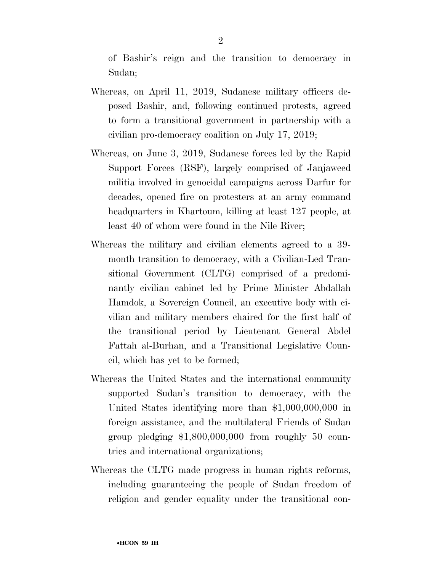of Bashir's reign and the transition to democracy in Sudan;

- Whereas, on April 11, 2019, Sudanese military officers deposed Bashir, and, following continued protests, agreed to form a transitional government in partnership with a civilian pro-democracy coalition on July 17, 2019;
- Whereas, on June 3, 2019, Sudanese forces led by the Rapid Support Forces (RSF), largely comprised of Janjaweed militia involved in genocidal campaigns across Darfur for decades, opened fire on protesters at an army command headquarters in Khartoum, killing at least 127 people, at least 40 of whom were found in the Nile River;
- Whereas the military and civilian elements agreed to a 39 month transition to democracy, with a Civilian-Led Transitional Government (CLTG) comprised of a predominantly civilian cabinet led by Prime Minister Abdallah Hamdok, a Sovereign Council, an executive body with civilian and military members chaired for the first half of the transitional period by Lieutenant General Abdel Fattah al-Burhan, and a Transitional Legislative Council, which has yet to be formed;
- Whereas the United States and the international community supported Sudan's transition to democracy, with the United States identifying more than \$1,000,000,000 in foreign assistance, and the multilateral Friends of Sudan group pledging \$1,800,000,000 from roughly 50 countries and international organizations;
- Whereas the CLTG made progress in human rights reforms, including guaranteeing the people of Sudan freedom of religion and gender equality under the transitional con-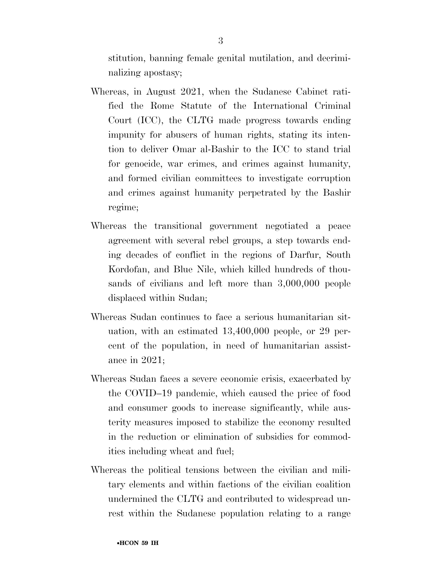stitution, banning female genital mutilation, and decriminalizing apostasy;

- Whereas, in August 2021, when the Sudanese Cabinet ratified the Rome Statute of the International Criminal Court (ICC), the CLTG made progress towards ending impunity for abusers of human rights, stating its intention to deliver Omar al-Bashir to the ICC to stand trial for genocide, war crimes, and crimes against humanity, and formed civilian committees to investigate corruption and crimes against humanity perpetrated by the Bashir regime;
- Whereas the transitional government negotiated a peace agreement with several rebel groups, a step towards ending decades of conflict in the regions of Darfur, South Kordofan, and Blue Nile, which killed hundreds of thousands of civilians and left more than 3,000,000 people displaced within Sudan;
- Whereas Sudan continues to face a serious humanitarian situation, with an estimated 13,400,000 people, or 29 percent of the population, in need of humanitarian assistance in 2021;
- Whereas Sudan faces a severe economic crisis, exacerbated by the COVID–19 pandemic, which caused the price of food and consumer goods to increase significantly, while austerity measures imposed to stabilize the economy resulted in the reduction or elimination of subsidies for commodities including wheat and fuel;
- Whereas the political tensions between the civilian and military elements and within factions of the civilian coalition undermined the CLTG and contributed to widespread unrest within the Sudanese population relating to a range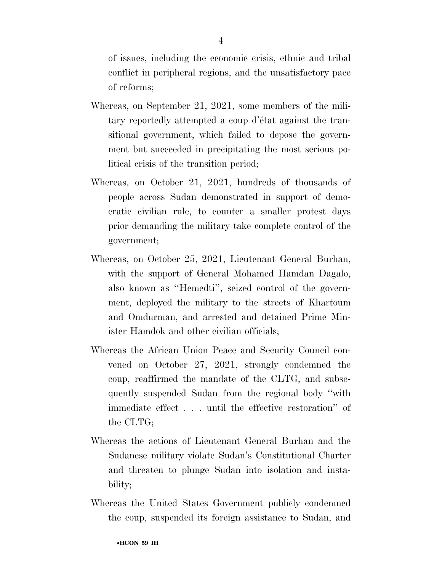of issues, including the economic crisis, ethnic and tribal conflict in peripheral regions, and the unsatisfactory pace of reforms;

- Whereas, on September 21, 2021, some members of the military reportedly attempted a coup d'état against the transitional government, which failed to depose the government but succeeded in precipitating the most serious political crisis of the transition period;
- Whereas, on October 21, 2021, hundreds of thousands of people across Sudan demonstrated in support of democratic civilian rule, to counter a smaller protest days prior demanding the military take complete control of the government;
- Whereas, on October 25, 2021, Lieutenant General Burhan, with the support of General Mohamed Hamdan Dagalo, also known as ''Hemedti'', seized control of the government, deployed the military to the streets of Khartoum and Omdurman, and arrested and detained Prime Minister Hamdok and other civilian officials;
- Whereas the African Union Peace and Security Council convened on October 27, 2021, strongly condemned the coup, reaffirmed the mandate of the CLTG, and subsequently suspended Sudan from the regional body ''with immediate effect . . . until the effective restoration'' of the CLTG;
- Whereas the actions of Lieutenant General Burhan and the Sudanese military violate Sudan's Constitutional Charter and threaten to plunge Sudan into isolation and instability;
- Whereas the United States Government publicly condemned the coup, suspended its foreign assistance to Sudan, and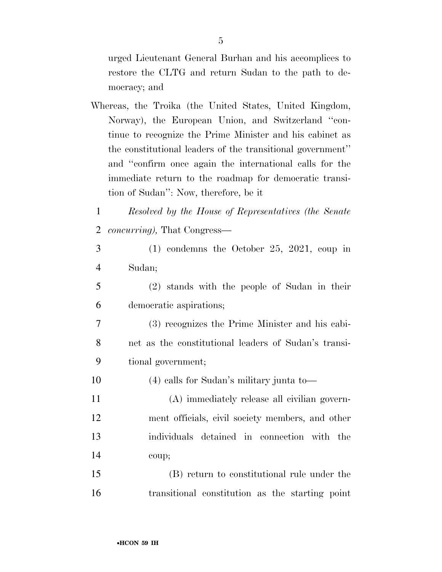urged Lieutenant General Burhan and his accomplices to restore the CLTG and return Sudan to the path to democracy; and

- Whereas, the Troika (the United States, United Kingdom, Norway), the European Union, and Switzerland ''continue to recognize the Prime Minister and his cabinet as the constitutional leaders of the transitional government'' and ''confirm once again the international calls for the immediate return to the roadmap for democratic transition of Sudan'': Now, therefore, be it
- *Resolved by the House of Representatives (the Senate concurring),* That Congress—
- (1) condemns the October 25, 2021, coup in Sudan;
- (2) stands with the people of Sudan in their democratic aspirations;
- (3) recognizes the Prime Minister and his cabi- net as the constitutional leaders of Sudan's transi-tional government;
- (4) calls for Sudan's military junta to—
- (A) immediately release all civilian govern- ment officials, civil society members, and other individuals detained in connection with the coup;
- (B) return to constitutional rule under the transitional constitution as the starting point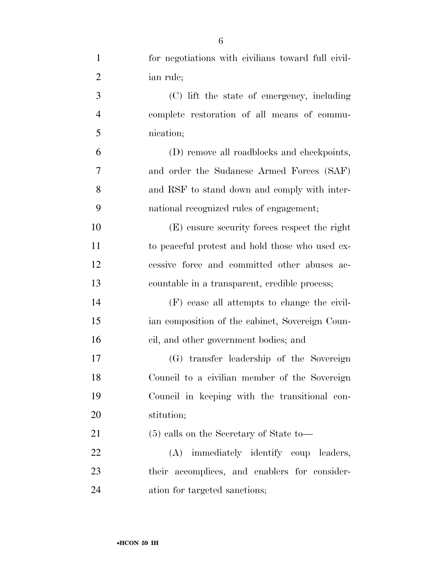| $\mathbf{1}$   | for negotiations with civilians toward full civil- |
|----------------|----------------------------------------------------|
| $\overline{2}$ | ian rule;                                          |
| 3              | (C) lift the state of emergency, including         |
| $\overline{4}$ | complete restoration of all means of commu-        |
| 5              | nication;                                          |
| 6              | (D) remove all roadblocks and checkpoints,         |
| $\tau$         | and order the Sudanese Armed Forces (SAF)          |
| 8              | and RSF to stand down and comply with inter-       |
| 9              | national recognized rules of engagement;           |
| 10             | (E) ensure security forces respect the right       |
| 11             | to peaceful protest and hold those who used ex-    |
| 12             | cessive force and committed other abuses ac-       |
| 13             | countable in a transparent, credible process;      |
| 14             | (F) cease all attempts to change the civil-        |
| 15             | ian composition of the cabinet, Sovereign Coun-    |
| 16             | cil, and other government bodies; and              |
| 17             | (G) transfer leadership of the Sovereign           |
| 18             | Council to a civilian member of the Sovereign      |
| 19             | Council in keeping with the transitional con-      |
| 20             | stitution;                                         |
| 21             | $(5)$ calls on the Secretary of State to-          |
| 22             | (A) immediately identify coup leaders,             |
| 23             | their accomplices, and enablers for consider-      |
| 24             | ation for targeted sanctions;                      |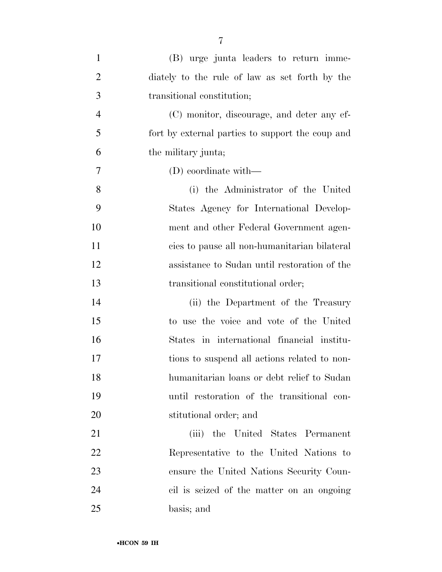| $\mathbf{1}$   | (B) urge junta leaders to return imme-           |
|----------------|--------------------------------------------------|
| $\overline{2}$ | diately to the rule of law as set forth by the   |
| 3              | transitional constitution;                       |
| $\overline{4}$ | (C) monitor, discourage, and deter any ef-       |
| 5              | fort by external parties to support the coup and |
| 6              | the military junta;                              |
| 7              | $(D)$ coordinate with—                           |
| 8              | (i) the Administrator of the United              |
| 9              | States Agency for International Develop-         |
| 10             | ment and other Federal Government agen-          |
| 11             | cies to pause all non-humanitarian bilateral     |
| 12             | assistance to Sudan until restoration of the     |
| 13             | transitional constitutional order;               |
| 14             | (ii) the Department of the Treasury              |
| 15             | to use the voice and vote of the United          |
| 16             | States in international financial institu-       |
| 17             | tions to suspend all actions related to non-     |
| 18             | humanitarian loans or debt relief to Sudan       |
| 19             | until restoration of the transitional con-       |
| 20             | stitutional order; and                           |
| 21             | (iii) the United States Permanent                |
| 22             | Representative to the United Nations to          |
| 23             | ensure the United Nations Security Coun-         |
| 24             | cil is seized of the matter on an ongoing        |
| 25             | basis; and                                       |